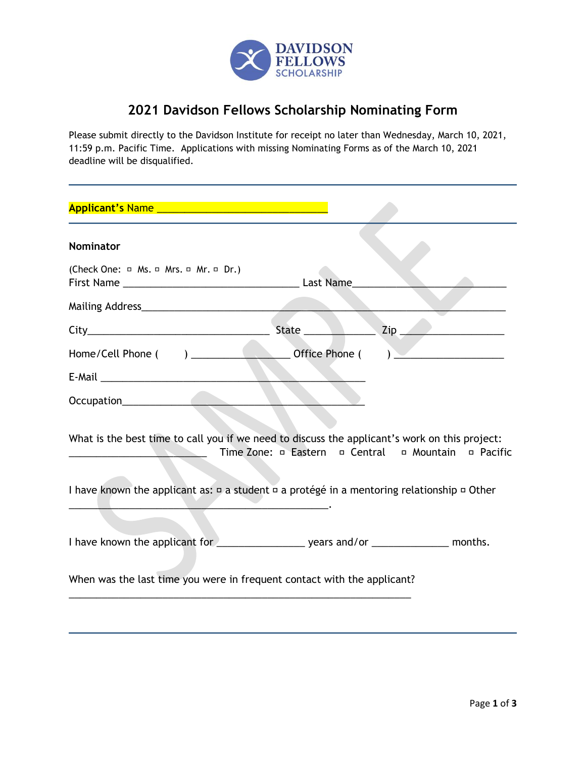

## **2021 Davidson Fellows Scholarship Nominating Form**

Please submit directly to the Davidson Institute for receipt no later than Wednesday, March 10, 2021, 11:59 p.m. Pacific Time. Applications with missing Nominating Forms as of the March 10, 2021 deadline will be disqualified.

| <b>Nominator</b>                                                                                          |                                                                         |
|-----------------------------------------------------------------------------------------------------------|-------------------------------------------------------------------------|
| (Check One: $\Box$ Ms. $\Box$ Mrs. $\Box$ Mr. $\Box$ Dr.)                                                 |                                                                         |
|                                                                                                           |                                                                         |
|                                                                                                           |                                                                         |
|                                                                                                           |                                                                         |
|                                                                                                           |                                                                         |
|                                                                                                           |                                                                         |
| What is the best time to call you if we need to discuss the applicant's work on this project:             | Time Zone: $\Box$ Eastern $\Box$ Central $\Box$ Mountain $\Box$ Pacific |
| I have known the applicant as: $\Box$ a student $\Box$ a protégé in a mentoring relationship $\Box$ Other |                                                                         |
|                                                                                                           |                                                                         |
| When was the last time you were in frequent contact with the applicant?                                   |                                                                         |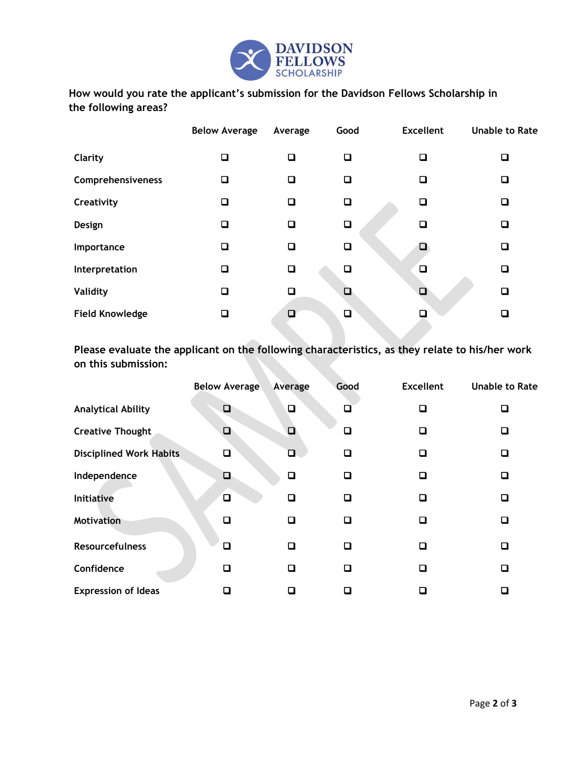

**How would you rate the applicant's submission for the Davidson Fellows Scholarship in the following areas?**

|                        | <b>Below Average</b> | Average | Good   | <b>Excellent</b> | <b>Unable to Rate</b> |
|------------------------|----------------------|---------|--------|------------------|-----------------------|
| Clarity                | ❏                    | □       | □      | О                | О                     |
| Comprehensiveness      | О                    | □       | □      | □                | О                     |
| Creativity             | ❏                    | □       | О      | О                | Q                     |
| Design                 | □                    | □       | ❏      | □                | □                     |
| Importance             | О                    | □       | □      |                  | ◻                     |
| Interpretation         | ❏                    | ◻       | □      | $\Box$           | □                     |
| Validity               | ❏                    | $\Box$  | $\Box$ | $\Box$           | O                     |
| <b>Field Knowledge</b> | □                    | □       | $\Box$ |                  | □                     |

**Please evaluate the applicant on the following characteristics, as they relate to his/her work on this submission:**

|                                | <b>Below Average</b> | Average                  | Good   | <b>Excellent</b>            | <b>Unable to Rate</b> |
|--------------------------------|----------------------|--------------------------|--------|-----------------------------|-----------------------|
| <b>Analytical Ability</b>      | ❏                    | $\Box$                   | ◻      | <b>TI</b>                   | ◻                     |
| <b>Creative Thought</b>        | $\Box$               | □                        | ❏      | $\Box$                      | o                     |
| <b>Disciplined Work Habits</b> | $\Box$               | □                        | ❏      |                             | О                     |
| Independence                   | $\Box$               | $\Box$                   | ❏      |                             | $\Box$                |
| Initiative                     | $\Box$               | □                        | □      |                             | □                     |
| <b>Motivation</b>              | □                    | ◻                        | ❏      | $\mathcal{L}_{\mathcal{A}}$ | О                     |
| <b>Resourcefulness</b>         | П                    | ◻                        | ◻      | L                           | О                     |
| Confidence                     | П                    | ◻                        | ◻      | □                           | □                     |
| <b>Expression of Ideas</b>     |                      | $\overline{\phantom{a}}$ | $\Box$ |                             | ◻                     |